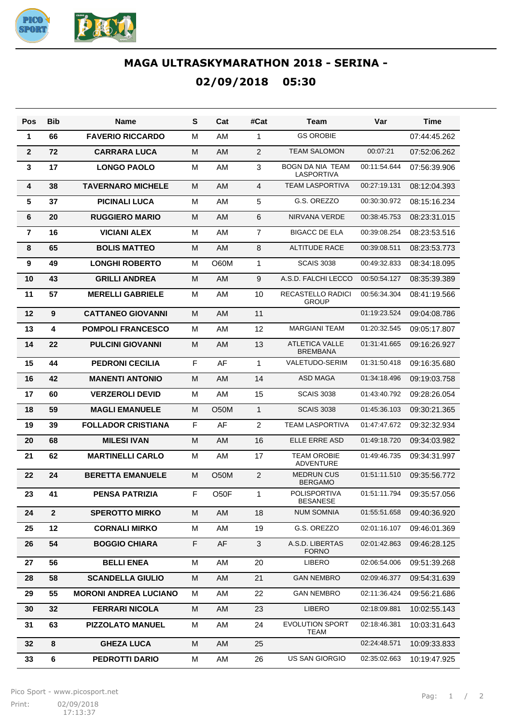

## **MAGA ULTRASKYMARATHON 2018 - SERINA - 02/09/2018 05:30**

| Pos             | <b>Bib</b>   | <b>Name</b>                  | S | Cat               | #Cat           | <b>Team</b>                              | Var          | <b>Time</b>  |
|-----------------|--------------|------------------------------|---|-------------------|----------------|------------------------------------------|--------------|--------------|
| 1               | 66           | <b>FAVERIO RICCARDO</b>      | м | AM                | 1              | <b>GS OROBIE</b>                         |              | 07:44:45.262 |
| $\overline{2}$  | 72           | <b>CARRARA LUCA</b>          | M | AM                | 2              | <b>TEAM SALOMON</b>                      | 00:07:21     | 07:52:06.262 |
| 3               | 17           | <b>LONGO PAOLO</b>           | М | AM                | 3              | <b>BOGN DA NIA TEAM</b><br>LASPORTIVA    | 00:11:54.644 | 07:56:39.906 |
| 4               | 38           | <b>TAVERNARO MICHELE</b>     | м | AM                | 4              | <b>TEAM LASPORTIVA</b>                   | 00:27:19.131 | 08:12:04.393 |
| $5\phantom{.0}$ | 37           | <b>PICINALI LUCA</b>         | м | AM                | 5              | G.S. OREZZO                              | 00:30:30.972 | 08:15:16.234 |
| 6               | 20           | <b>RUGGIERO MARIO</b>        | м | AM.               | 6              | NIRVANA VERDE                            | 00:38:45.753 | 08:23:31.015 |
| $\overline{7}$  | 16           | <b>VICIANI ALEX</b>          | м | AM                | $\overline{7}$ | <b>BIGACC DE ELA</b>                     | 00:39:08.254 | 08:23:53.516 |
| 8               | 65           | <b>BOLIS MATTEO</b>          | м | AM                | 8              | <b>ALTITUDE RACE</b>                     | 00:39:08.511 | 08:23:53.773 |
| 9               | 49           | <b>LONGHI ROBERTO</b>        | м | O60M              | 1              | <b>SCAIS 3038</b>                        | 00:49:32.833 | 08:34:18.095 |
| 10              | 43           | <b>GRILLI ANDREA</b>         | м | AM.               | 9              | A.S.D. FALCHI LECCO                      | 00:50:54.127 | 08:35:39.389 |
| 11              | 57           | <b>MERELLI GABRIELE</b>      | М | AM                | 10             | RECASTELLO RADICI<br><b>GROUP</b>        | 00:56:34.304 | 08:41:19.566 |
| 12              | 9            | <b>CATTANEO GIOVANNI</b>     | M | AM                | 11             |                                          | 01:19:23.524 | 09:04:08.786 |
| 13              | 4            | <b>POMPOLI FRANCESCO</b>     | М | AM                | 12             | <b>MARGIANI TEAM</b>                     | 01:20:32.545 | 09:05:17.807 |
| 14              | 22           | <b>PULCINI GIOVANNI</b>      | М | AM                | 13             | <b>ATLETICA VALLE</b><br><b>BREMBANA</b> | 01:31:41.665 | 09:16:26.927 |
| 15              | 44           | <b>PEDRONI CECILIA</b>       | F | AF                | $\mathbf{1}$   | <b>VALETUDO-SERIM</b>                    | 01:31:50.418 | 09:16:35.680 |
| 16              | 42           | <b>MANENTI ANTONIO</b>       | M | AM                | 14             | <b>ASD MAGA</b>                          | 01:34:18.496 | 09:19:03.758 |
| 17              | 60           | <b>VERZEROLI DEVID</b>       | М | AM                | 15             | <b>SCAIS 3038</b>                        | 01:43:40.792 | 09:28:26.054 |
| 18              | 59           | <b>MAGLI EMANUELE</b>        | M | O <sub>5</sub> 0M | $\mathbf{1}$   | <b>SCAIS 3038</b>                        | 01:45:36.103 | 09:30:21.365 |
| 19              | 39           | <b>FOLLADOR CRISTIANA</b>    | F | AF                | $\overline{2}$ | <b>TEAM LASPORTIVA</b>                   | 01:47:47.672 | 09:32:32.934 |
| 20              | 68           | <b>MILESI IVAN</b>           | M | AM                | 16             | ELLE ERRE ASD                            | 01:49:18.720 | 09:34:03.982 |
| 21              | 62           | <b>MARTINELLI CARLO</b>      | М | AM                | 17             | <b>TEAM OROBIE</b><br><b>ADVENTURE</b>   | 01:49:46.735 | 09:34:31.997 |
| 22              | 24           | <b>BERETTA EMANUELE</b>      | м | O <sub>5</sub> 0M | 2              | <b>MEDRUN CUS</b><br><b>BERGAMO</b>      | 01:51:11.510 | 09:35:56.772 |
| 23              | 41           | <b>PENSA PATRIZIA</b>        | F | O50F              | $\mathbf{1}$   | POLISPORTIVA<br><b>BESANESE</b>          | 01:51:11.794 | 09:35:57.056 |
| 24              | $\mathbf{2}$ | <b>SPEROTTO MIRKO</b>        | M | AM                | 18             | <b>NUM SOMNIA</b>                        | 01:55:51.658 | 09:40:36.920 |
| 25              | 12           | <b>CORNALI MIRKO</b>         | М | AM                | 19             | G.S. OREZZO                              | 02:01:16.107 | 09:46:01.369 |
| 26              | 54           | <b>BOGGIO CHIARA</b>         | F | AF                | 3              | A.S.D. LIBERTAS<br><b>FORNO</b>          | 02:01:42.863 | 09:46:28.125 |
| 27              | 56           | <b>BELLI ENEA</b>            | м | AM                | 20             | LIBERO                                   | 02:06:54.006 | 09:51:39.268 |
| 28              | 58           | <b>SCANDELLA GIULIO</b>      | Μ | AM                | 21             | <b>GAN NEMBRO</b>                        | 02:09:46.377 | 09:54:31.639 |
| 29              | 55           | <b>MORONI ANDREA LUCIANO</b> | м | AM                | 22             | <b>GAN NEMBRO</b>                        | 02:11:36.424 | 09:56:21.686 |
| 30              | 32           | <b>FERRARI NICOLA</b>        | М | AM                | 23             | <b>LIBERO</b>                            | 02:18:09.881 | 10:02:55.143 |
| 31              | 63           | <b>PIZZOLATO MANUEL</b>      | М | AM                | 24             | <b>EVOLUTION SPORT</b><br>TEAM           | 02:18:46.381 | 10:03:31.643 |
| 32              | 8            | <b>GHEZA LUCA</b>            | м | AM                | 25             |                                          | 02:24:48.571 | 10:09:33.833 |
| 33              | 6            | PEDROTTI DARIO               | Μ | AM                | 26             | US SAN GIORGIO                           | 02:35:02.663 | 10:19:47.925 |